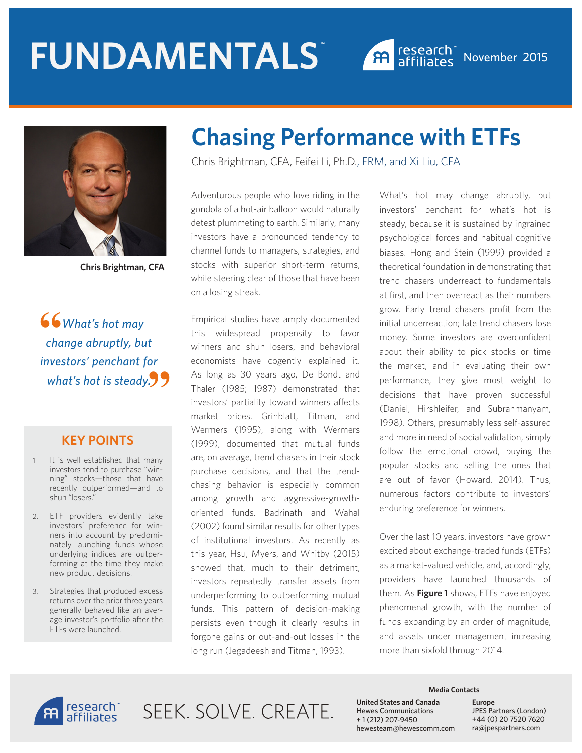# **FUNDAMENTALS** ™





**Chris Brightman, CFA**

 *What's hot may change abruptly, but investors' penchant for what's hot is steady.* **"66**<br>cha

#### **KEY POINTS**

- 1. It is well established that many investors tend to purchase "winning" stocks—those that have recently outperformed—and to shun "losers."
- 2. ETF providers evidently take investors' preference for winners into account by predominately launching funds whose underlying indices are outperforming at the time they make new product decisions.
- 3. Strategies that produced excess returns over the prior three years generally behaved like an average investor's portfolio after the ETFs were launched.

# **Chasing Performance with ETFs**

Chris Brightman, CFA, Feifei Li, Ph.D., FRM, and Xi Liu, CFA

Adventurous people who love riding in the gondola of a hot-air balloon would naturally detest plummeting to earth. Similarly, many investors have a pronounced tendency to channel funds to managers, strategies, and stocks with superior short-term returns, while steering clear of those that have been on a losing streak.

Empirical studies have amply documented this widespread propensity to favor winners and shun losers, and behavioral economists have cogently explained it. As long as 30 years ago, De Bondt and Thaler (1985; 1987) demonstrated that investors' partiality toward winners affects market prices. Grinblatt, Titman, and Wermers (1995), along with Wermers (1999), documented that mutual funds are, on average, trend chasers in their stock purchase decisions, and that the trendchasing behavior is especially common among growth and aggressive-growthoriented funds. Badrinath and Wahal (2002) found similar results for other types of institutional investors. As recently as this year, Hsu, Myers, and Whitby (2015) showed that, much to their detriment, investors repeatedly transfer assets from underperforming to outperforming mutual funds. This pattern of decision-making persists even though it clearly results in forgone gains or out-and-out losses in the long run (Jegadeesh and Titman, 1993).

What's hot may change abruptly, but investors' penchant for what's hot is steady, because it is sustained by ingrained psychological forces and habitual cognitive biases. Hong and Stein (1999) provided a theoretical foundation in demonstrating that trend chasers underreact to fundamentals at first, and then overreact as their numbers grow. Early trend chasers profit from the initial underreaction; late trend chasers lose money. Some investors are overconfident about their ability to pick stocks or time the market, and in evaluating their own performance, they give most weight to decisions that have proven successful (Daniel, Hirshleifer, and Subrahmanyam, 1998). Others, presumably less self-assured and more in need of social validation, simply follow the emotional crowd, buying the popular stocks and selling the ones that are out of favor (Howard, 2014). Thus, numerous factors contribute to investors' enduring preference for winners.

Over the last 10 years, investors have grown excited about exchange-traded funds (ETFs) as a market-valued vehicle, and, accordingly, providers have launched thousands of them. As **Figure 1** shows, ETFs have enjoyed phenomenal growth, with the number of funds expanding by an order of magnitude, and assets under management increasing more than sixfold through 2014.



SEEK SOLVE CREATE

**Media Contacts**

**United States and Canada**  Hewes Communications + 1 (212) 207-9450 hewesteam@hewescomm.com **Europe** JPES Partners (London) +44 (0) 20 7520 7620 ra@jpespartners.com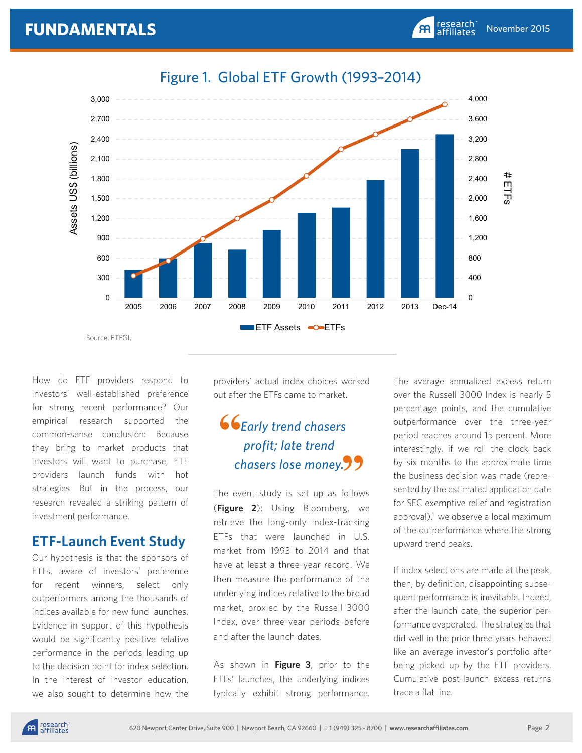

# Figure 1. Global ETF Growth (1993–2014)

How do ETF providers respond to investors' well-established preference for strong recent performance? Our empirical research supported the common-sense conclusion: Because they bring to market products that investors will want to purchase, ETF providers launch funds with hot strategies. But in the process, our research revealed a striking pattern of investment performance.

## **ETF-Launch Event Study**

Our hypothesis is that the sponsors of ETFs, aware of investors' preference for recent winners, select only outperformers among the thousands of indices available for new fund launches. Evidence in support of this hypothesis would be significantly positive relative performance in the periods leading up to the decision point for index selection. In the interest of investor education, we also sought to determine how the

providers' actual index choices worked out after the ETFs came to market.

# *Early trend chasers profit; late trend chasers lose money.* **""**

The event study is set up as follows (**Figure 2**): Using Bloomberg, we retrieve the long-only index-tracking ETFs that were launched in U.S. market from 1993 to 2014 and that have at least a three-year record. We then measure the performance of the underlying indices relative to the broad market, proxied by the Russell 3000 Index, over three-year periods before and after the launch dates.

As shown in **Figure 3**, prior to the ETFs' launches, the underlying indices typically exhibit strong performance. The average annualized excess return over the Russell 3000 Index is nearly 5 percentage points, and the cumulative outperformance over the three-year period reaches around 15 percent. More interestingly, if we roll the clock back by six months to the approximate time the business decision was made (represented by the estimated application date for SEC exemptive relief and registration approval), $1$  we observe a local maximum of the outperformance where the strong upward trend peaks.

November 2015

research<br>affiliates

 $\mathbf{A}$ 

If index selections are made at the peak, then, by definition, disappointing subsequent performance is inevitable. Indeed, after the launch date, the superior performance evaporated. The strategies that did well in the prior three years behaved like an average investor's portfolio after being picked up by the ETF providers. Cumulative post-launch excess returns trace a flat line.

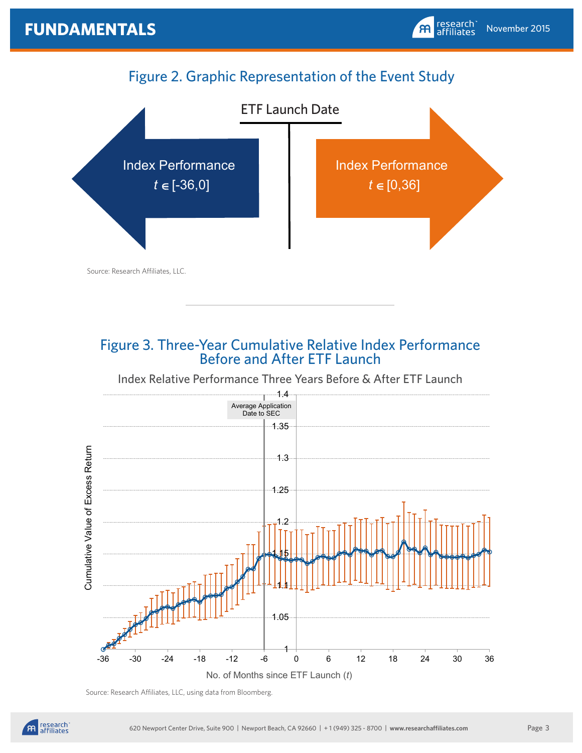# Figure 2. Graphic Representation of the Event Study



# Figure 3. Three-Year Cumulative Relative Index Performance Before and After ETF Launch

#### Index Relative Performance Three Years Before & After ETF Launch



Source: Research Affiliates, LLC, using data from Bloomberg.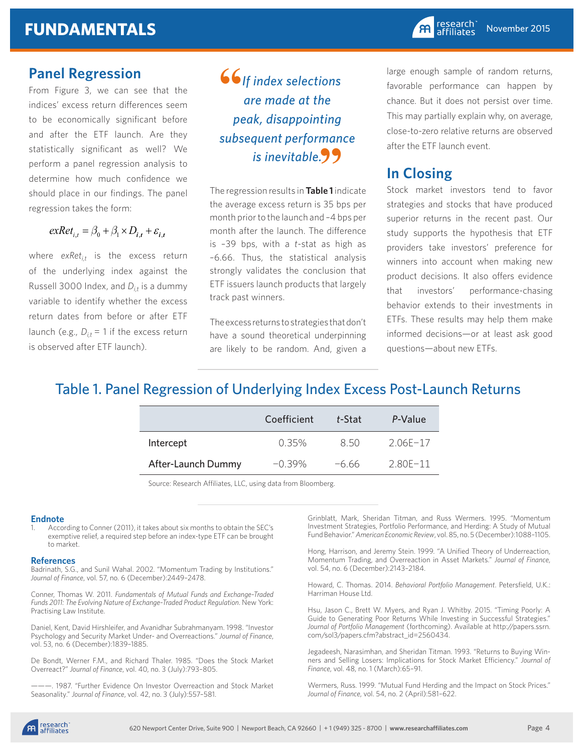## **Panel Regression**

From Figure 3, we can see that the indices' excess return differences seem to be economically significant before and after the ETF launch. Are they statistically significant as well? We perform a panel regression analysis to determine how much confidence we should place in our findings. The panel regression takes the form:

 $exRet_{i,t} = \beta_0 + \beta_1 \times D_{i,t} + \varepsilon_{i,t}$ 

where *exRet<sub>it</sub>* is the excess return of the underlying index against the Russell 3000 Index, and  $D_{i,t}$  is a dummy variable to identify whether the excess return dates from before or after ETF launch (e.g.,  $D_{it} = 1$  if the excess return is observed after ETF launch).

*If index selections are made at the peak, disappointing subsequent performance*  **"** *is inevitable.* **"**

The regression results in **Table 1** indicate the average excess return is 35 bps per month prior to the launch and –4 bps per month after the launch. The difference is –39 bps, with a *t*-stat as high as –6.66. Thus, the statistical analysis strongly validates the conclusion that ETF issuers launch products that largely track past winners.

The excess returns to strategies that don't have a sound theoretical underpinning are likely to be random. And, given a large enough sample of random returns, favorable performance can happen by chance. But it does not persist over time. This may partially explain why, on average, close-to-zero relative returns are observed after the ETF launch event.

# **In Closing**

Stock market investors tend to favor strategies and stocks that have produced superior returns in the recent past. Our study supports the hypothesis that ETF providers take investors' preference for winners into account when making new product decisions. It also offers evidence that investors' performance-chasing behavior extends to their investments in ETFs. These results may help them make informed decisions—or at least ask good questions—about new ETFs.

# Table 1. Panel Regression of Underlying Index Excess Post-Launch Returns

|                    | Coefficient | t-Stat | P-Value  |
|--------------------|-------------|--------|----------|
| Intercept          | $0.35\%$    | 850    | 206F-17  |
| After-Launch Dummy | $-0.39\%$   | -6.66  | 2.80F-11 |

Source: Research Affiliates, LLC, using data from Bloomberg.

#### **Endnote**

According to Conner (2011), it takes about six months to obtain the SEC's exemptive relief, a required step before an index-type ETF can be brought to market.

#### **References**

Badrinath, S.G., and Sunil Wahal. 2002. "Momentum Trading by Institutions." *Journal of Finance*, vol. 57, no. 6 (December):2449–2478.

Conner, Thomas W. 2011. *Fundamentals of Mutual Funds and Exchange-Traded Funds 2011: The Evolving Nature of Exchange-Traded Product Regulation*. New York: Practising Law Institute.

Daniel, Kent, David Hirshleifer, and Avanidhar Subrahmanyam. 1998. "Investor Psychology and Security Market Under- and Overreactions." *Journal of Finance*, vol. 53, no. 6 (December):1839–1885.

De Bondt, Werner F.M., and Richard Thaler. 1985. "Does the Stock Market Overreact?" *Journal of Finance*, vol. 40, no. 3 (July):793–805.

———. 1987. "Further Evidence On Investor Overreaction and Stock Market Seasonality." *Journal of Finance*, vol. 42, no. 3 (July):557–581.

Grinblatt, Mark, Sheridan Titman, and Russ Wermers. 1995. "Momentum Investment Strategies, Portfolio Performance, and Herding: A Study of Mutual Fund Behavior." *American Economic Review*, vol. 85, no. 5 (December):1088–1105.

Hong, Harrison, and Jeremy Stein. 1999. "A Unified Theory of Underreaction, Momentum Trading, and Overreaction in Asset Markets." *Journal of Finance*, vol. 54, no. 6 (December):2143–2184.

Howard, C. Thomas. 2014. *Behavioral Portfolio Management*. Petersfield, U.K.: Harriman House Ltd.

Hsu, Jason C., Brett W. Myers, and Ryan J. Whitby. 2015. "Timing Poorly: A Guide to Generating Poor Returns While Investing in Successful Strategies." *Journal of Portfolio Management* (forthcoming). Available at http://papers.ssrn. com/sol3/papers.cfm?abstract\_id=2560434.

Jegadeesh, Narasimhan, and Sheridan Titman. 1993. "Returns to Buying Winners and Selling Losers: Implications for Stock Market Efficiency." *Journal of Finance*, vol. 48, no. 1 (March):65–91.

Wermers, Russ. 1999. "Mutual Fund Herding and the Impact on Stock Prices." *Journal of Finance*, vol. 54, no. 2 (April):581–622.